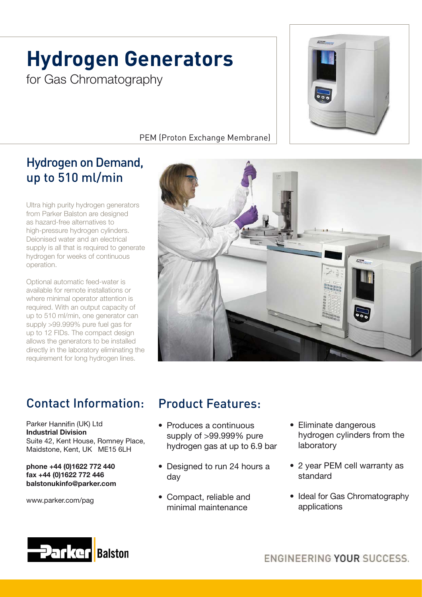# **Hydrogen Generators** for Gas Chromatography



### PEM (Proton Exchange Membrane)

# Hydrogen on Demand, up to 510 ml/min

Ultra high purity hydrogen generators from Parker Balston are designed as hazard-free alternatives to high-pressure hydrogen cylinders. Deionised water and an electrical supply is all that is required to generate hydrogen for weeks of continuous operation.

Optional automatic feed-water is available for remote installations or where minimal operator attention is required. With an output capacity of up to 510 ml/min, one generator can supply >99.999% pure fuel gas for up to 12 FIDs. The compact design allows the generators to be installed directly in the laboratory eliminating the requirement for long hydrogen lines.



# Contact Information:

Parker Hannifin (UK) Ltd Industrial Division Suite 42, Kent House, Romney Place, Maidstone, Kent, UK ME15 6LH

phone +44 (0)1622 772 440 fax +44 (0)1622 772 446 balstonukinfo@parker.com

www.parker.com/pag

## Product Features:

- Produces a continuous supply of >99.999% pure hydrogen gas at up to 6.9 bar
- Designed to run 24 hours a day
- Compact, reliable and minimal maintenance
- Eliminate dangerous hydrogen cylinders from the laboratory
- 2 year PEM cell warranty as standard
- Ideal for Gas Chromatography applications



ENGINEERING YOUR SUCCESS.